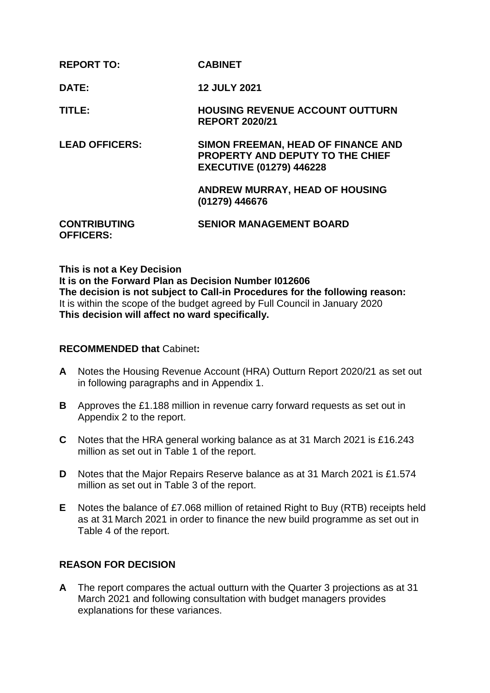| <b>REPORT TO:</b>                       | <b>CABINET</b>                                                                                                   |
|-----------------------------------------|------------------------------------------------------------------------------------------------------------------|
| DATE:                                   | <b>12 JULY 2021</b>                                                                                              |
| TITLE:                                  | <b>HOUSING REVENUE ACCOUNT OUTTURN</b><br><b>REPORT 2020/21</b>                                                  |
| <b>LEAD OFFICERS:</b>                   | SIMON FREEMAN, HEAD OF FINANCE AND<br><b>PROPERTY AND DEPUTY TO THE CHIEF</b><br><b>EXECUTIVE (01279) 446228</b> |
|                                         | <b>ANDREW MURRAY, HEAD OF HOUSING</b><br>(01279) 446676                                                          |
| <b>CONTRIBUTING</b><br><b>OFFICERS:</b> | <b>SENIOR MANAGEMENT BOARD</b>                                                                                   |

**This is not a Key Decision It is on the Forward Plan as Decision Number I012606 The decision is not subject to Call-in Procedures for the following reason:** It is within the scope of the budget agreed by Full Council in January 2020 **This decision will affect no ward specifically.**

### **RECOMMENDED that** Cabinet**:**

- **A** Notes the Housing Revenue Account (HRA) Outturn Report 2020/21 as set out in following paragraphs and in Appendix 1.
- **B** Approves the £1.188 million in revenue carry forward requests as set out in Appendix 2 to the report.
- **C** Notes that the HRA general working balance as at 31 March 2021 is £16.243 million as set out in Table 1 of the report.
- **D** Notes that the Major Repairs Reserve balance as at 31 March 2021 is £1.574 million as set out in Table 3 of the report.
- **E** Notes the balance of £7.068 million of retained Right to Buy (RTB) receipts held as at 31 March 2021 in order to finance the new build programme as set out in Table 4 of the report.

### **REASON FOR DECISION**

**A** The report compares the actual outturn with the Quarter 3 projections as at 31 March 2021 and following consultation with budget managers provides explanations for these variances.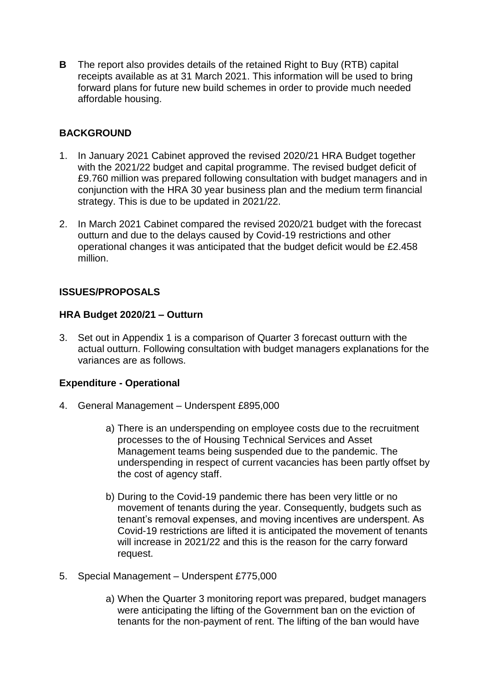**B** The report also provides details of the retained Right to Buy (RTB) capital receipts available as at 31 March 2021. This information will be used to bring forward plans for future new build schemes in order to provide much needed affordable housing.

# **BACKGROUND**

- 1. In January 2021 Cabinet approved the revised 2020/21 HRA Budget together with the 2021/22 budget and capital programme. The revised budget deficit of £9.760 million was prepared following consultation with budget managers and in conjunction with the HRA 30 year business plan and the medium term financial strategy. This is due to be updated in 2021/22.
- 2. In March 2021 Cabinet compared the revised 2020/21 budget with the forecast outturn and due to the delays caused by Covid-19 restrictions and other operational changes it was anticipated that the budget deficit would be £2.458 million.

# **ISSUES/PROPOSALS**

#### **HRA Budget 2020/21 – Outturn**

3. Set out in Appendix 1 is a comparison of Quarter 3 forecast outturn with the actual outturn. Following consultation with budget managers explanations for the variances are as follows.

### **Expenditure - Operational**

- 4. General Management Underspent £895,000
	- a) There is an underspending on employee costs due to the recruitment processes to the of Housing Technical Services and Asset Management teams being suspended due to the pandemic. The underspending in respect of current vacancies has been partly offset by the cost of agency staff.
	- b) During to the Covid-19 pandemic there has been very little or no movement of tenants during the year. Consequently, budgets such as tenant's removal expenses, and moving incentives are underspent. As Covid-19 restrictions are lifted it is anticipated the movement of tenants will increase in 2021/22 and this is the reason for the carry forward request.
- 5. Special Management Underspent £775,000
	- a) When the Quarter 3 monitoring report was prepared, budget managers were anticipating the lifting of the Government ban on the eviction of tenants for the non-payment of rent. The lifting of the ban would have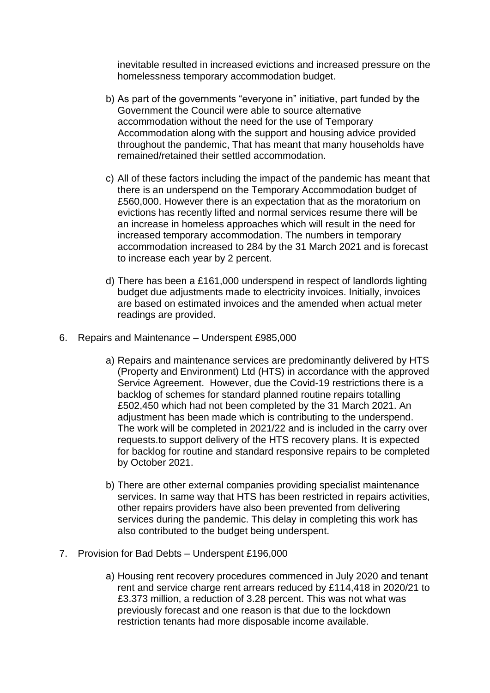inevitable resulted in increased evictions and increased pressure on the homelessness temporary accommodation budget.

- b) As part of the governments "everyone in" initiative, part funded by the Government the Council were able to source alternative accommodation without the need for the use of Temporary Accommodation along with the support and housing advice provided throughout the pandemic, That has meant that many households have remained/retained their settled accommodation.
- c) All of these factors including the impact of the pandemic has meant that there is an underspend on the Temporary Accommodation budget of £560,000. However there is an expectation that as the moratorium on evictions has recently lifted and normal services resume there will be an increase in homeless approaches which will result in the need for increased temporary accommodation. The numbers in temporary accommodation increased to 284 by the 31 March 2021 and is forecast to increase each year by 2 percent.
- d) There has been a £161,000 underspend in respect of landlords lighting budget due adjustments made to electricity invoices. Initially, invoices are based on estimated invoices and the amended when actual meter readings are provided.
- 6. Repairs and Maintenance Underspent £985,000
	- a) Repairs and maintenance services are predominantly delivered by HTS (Property and Environment) Ltd (HTS) in accordance with the approved Service Agreement. However, due the Covid-19 restrictions there is a backlog of schemes for standard planned routine repairs totalling £502,450 which had not been completed by the 31 March 2021. An adjustment has been made which is contributing to the underspend. The work will be completed in 2021/22 and is included in the carry over requests.to support delivery of the HTS recovery plans. It is expected for backlog for routine and standard responsive repairs to be completed by October 2021.
	- b) There are other external companies providing specialist maintenance services. In same way that HTS has been restricted in repairs activities, other repairs providers have also been prevented from delivering services during the pandemic. This delay in completing this work has also contributed to the budget being underspent.
- 7. Provision for Bad Debts Underspent £196,000
	- a) Housing rent recovery procedures commenced in July 2020 and tenant rent and service charge rent arrears reduced by £114,418 in 2020/21 to £3.373 million, a reduction of 3.28 percent. This was not what was previously forecast and one reason is that due to the lockdown restriction tenants had more disposable income available.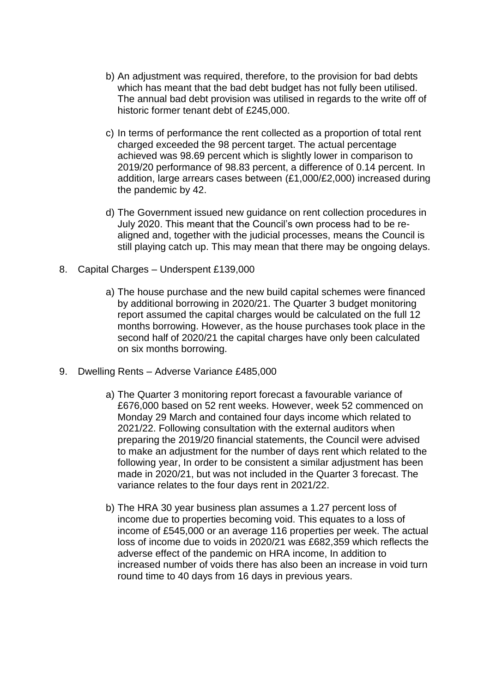- b) An adjustment was required, therefore, to the provision for bad debts which has meant that the bad debt budget has not fully been utilised. The annual bad debt provision was utilised in regards to the write off of historic former tenant debt of £245,000.
- c) In terms of performance the rent collected as a proportion of total rent charged exceeded the 98 percent target. The actual percentage achieved was 98.69 percent which is slightly lower in comparison to 2019/20 performance of 98.83 percent, a difference of 0.14 percent. In addition, large arrears cases between (£1,000/£2,000) increased during the pandemic by 42.
- d) The Government issued new guidance on rent collection procedures in July 2020. This meant that the Council's own process had to be realigned and, together with the judicial processes, means the Council is still playing catch up. This may mean that there may be ongoing delays.
- 8. Capital Charges Underspent £139,000
	- a) The house purchase and the new build capital schemes were financed by additional borrowing in 2020/21. The Quarter 3 budget monitoring report assumed the capital charges would be calculated on the full 12 months borrowing. However, as the house purchases took place in the second half of 2020/21 the capital charges have only been calculated on six months borrowing.
- 9. Dwelling Rents Adverse Variance £485,000
	- a) The Quarter 3 monitoring report forecast a favourable variance of £676,000 based on 52 rent weeks. However, week 52 commenced on Monday 29 March and contained four days income which related to 2021/22. Following consultation with the external auditors when preparing the 2019/20 financial statements, the Council were advised to make an adjustment for the number of days rent which related to the following year, In order to be consistent a similar adjustment has been made in 2020/21, but was not included in the Quarter 3 forecast. The variance relates to the four days rent in 2021/22.
	- b) The HRA 30 year business plan assumes a 1.27 percent loss of income due to properties becoming void. This equates to a loss of income of £545,000 or an average 116 properties per week. The actual loss of income due to voids in 2020/21 was £682,359 which reflects the adverse effect of the pandemic on HRA income, In addition to increased number of voids there has also been an increase in void turn round time to 40 days from 16 days in previous years.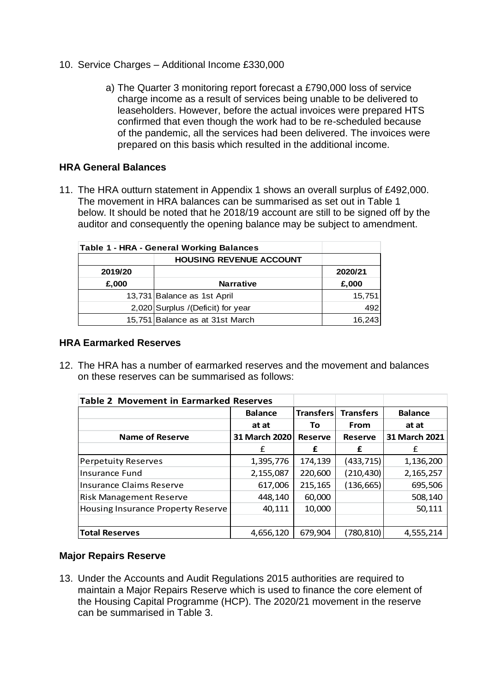- 10. Service Charges Additional Income £330,000
	- a) The Quarter 3 monitoring report forecast a £790,000 loss of service charge income as a result of services being unable to be delivered to leaseholders. However, before the actual invoices were prepared HTS confirmed that even though the work had to be re-scheduled because of the pandemic, all the services had been delivered. The invoices were prepared on this basis which resulted in the additional income.

## **HRA General Balances**

11. The HRA outturn statement in Appendix 1 shows an overall surplus of £492,000. The movement in HRA balances can be summarised as set out in Table 1 below. It should be noted that he 2018/19 account are still to be signed off by the auditor and consequently the opening balance may be subject to amendment.

| <b>Table 1 - HRA - General Working Balances</b> |                                    |        |  |
|-------------------------------------------------|------------------------------------|--------|--|
| <b>HOUSING REVENUE ACCOUNT</b>                  |                                    |        |  |
| 2019/20                                         | 2020/21                            |        |  |
| £,000                                           | <b>Narrative</b>                   | £,000  |  |
|                                                 | 13,731 Balance as 1st April        | 15,751 |  |
|                                                 | 2,020 Surplus / (Deficit) for year |        |  |
| 16,243<br>15,751 Balance as at 31st March       |                                    |        |  |

#### **HRA Earmarked Reserves**

12. The HRA has a number of earmarked reserves and the movement and balances on these reserves can be summarised as follows:

| <b>Table 2 Movement in Earmarked Reserves</b> |                |                  |                  |                |
|-----------------------------------------------|----------------|------------------|------------------|----------------|
|                                               | <b>Balance</b> | <b>Transfers</b> | <b>Transfers</b> | <b>Balance</b> |
|                                               | at at          | To               | From             | at at          |
| <b>Name of Reserve</b>                        | 31 March 2020  | <b>Reserve</b>   | <b>Reserve</b>   | 31 March 2021  |
|                                               | £              | £                | £                | £              |
| <b>Perpetuity Reserves</b>                    | 1,395,776      | 174,139          | (433, 715)       | 1,136,200      |
| <b>Insurance Fund</b>                         | 2,155,087      | 220,600          | (210, 430)       | 2,165,257      |
| <b>Insurance Claims Reserve</b>               | 617,006        | 215,165          | (136, 665)       | 695,506        |
| <b>Risk Management Reserve</b>                | 448,140        | 60,000           |                  | 508,140        |
| Housing Insurance Property Reserve            | 40,111         | 10,000           |                  | 50,111         |
|                                               |                |                  |                  |                |
| <b>Total Reserves</b>                         | 4,656,120      | 679,904          | (780,810)        | 4,555,214      |

### **Major Repairs Reserve**

13. Under the Accounts and Audit Regulations 2015 authorities are required to maintain a Major Repairs Reserve which is used to finance the core element of the Housing Capital Programme (HCP). The 2020/21 movement in the reserve can be summarised in Table 3.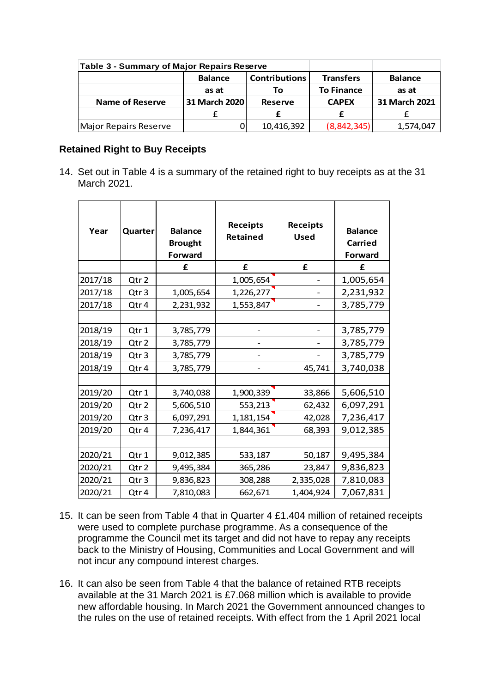| <b>Table 3 - Summary of Major Repairs Reserve</b> |                |                      |                   |                |  |
|---------------------------------------------------|----------------|----------------------|-------------------|----------------|--|
|                                                   | <b>Balance</b> | <b>Contributions</b> | <b>Transfers</b>  | <b>Balance</b> |  |
|                                                   | as at          | Тο                   | <b>To Finance</b> | as at          |  |
| <b>Name of Reserve</b>                            | 31 March 2020  | <b>Reserve</b>       | <b>CAPEX</b>      | 31 March 2021  |  |
|                                                   |                |                      |                   |                |  |
| Major Repairs Reserve                             |                | 10,416,392           | (8, 842, 345)     | 1,574,047      |  |

#### **Retained Right to Buy Receipts**

14. Set out in Table 4 is a summary of the retained right to buy receipts as at the 31 March 2021.

| Year    | Quarter          | <b>Balance</b><br><b>Brought</b><br><b>Forward</b> | <b>Receipts</b><br>Retained | <b>Receipts</b><br><b>Used</b> | <b>Balance</b><br><b>Carried</b><br><b>Forward</b> |
|---------|------------------|----------------------------------------------------|-----------------------------|--------------------------------|----------------------------------------------------|
|         |                  | £                                                  | £                           | £                              | f                                                  |
| 2017/18 | Qtr 2            |                                                    | 1,005,654                   |                                | 1,005,654                                          |
| 2017/18 | Qtr <sub>3</sub> | 1,005,654                                          | 1,226,277                   |                                | 2,231,932                                          |
| 2017/18 | Qtr 4            | 2,231,932                                          | 1,553,847                   |                                | 3,785,779                                          |
|         |                  |                                                    |                             |                                |                                                    |
| 2018/19 | Qtr 1            | 3,785,779                                          |                             |                                | 3,785,779                                          |
| 2018/19 | Qtr 2            | 3,785,779                                          |                             |                                | 3,785,779                                          |
| 2018/19 | Qtr <sub>3</sub> | 3,785,779                                          |                             |                                | 3,785,779                                          |
| 2018/19 | Qtr 4            | 3,785,779                                          |                             | 45,741                         | 3,740,038                                          |
|         |                  |                                                    |                             |                                |                                                    |
| 2019/20 | Qtr1             | 3,740,038                                          | 1,900,339                   | 33,866                         | 5,606,510                                          |
| 2019/20 | Qtr 2            | 5,606,510                                          | 553,213                     | 62,432                         | 6,097,291                                          |
| 2019/20 | Qtr <sub>3</sub> | 6,097,291                                          | 1,181,154                   | 42,028                         | 7,236,417                                          |
| 2019/20 | Qtr 4            | 7,236,417                                          | 1,844,361                   | 68,393                         | 9,012,385                                          |
|         |                  |                                                    |                             |                                |                                                    |
| 2020/21 | Qtr1             | 9,012,385                                          | 533,187                     | 50,187                         | 9,495,384                                          |
| 2020/21 | Qtr 2            | 9,495,384                                          | 365,286                     | 23,847                         | 9,836,823                                          |
| 2020/21 | Qtr <sub>3</sub> | 9,836,823                                          | 308,288                     | 2,335,028                      | 7,810,083                                          |
| 2020/21 | Qtr 4            | 7,810,083                                          | 662,671                     | 1,404,924                      | 7,067,831                                          |

- 15. It can be seen from Table 4 that in Quarter 4 £1.404 million of retained receipts were used to complete purchase programme. As a consequence of the programme the Council met its target and did not have to repay any receipts back to the Ministry of Housing, Communities and Local Government and will not incur any compound interest charges.
- 16. It can also be seen from Table 4 that the balance of retained RTB receipts available at the 31 March 2021 is £7.068 million which is available to provide new affordable housing. In March 2021 the Government announced changes to the rules on the use of retained receipts. With effect from the 1 April 2021 local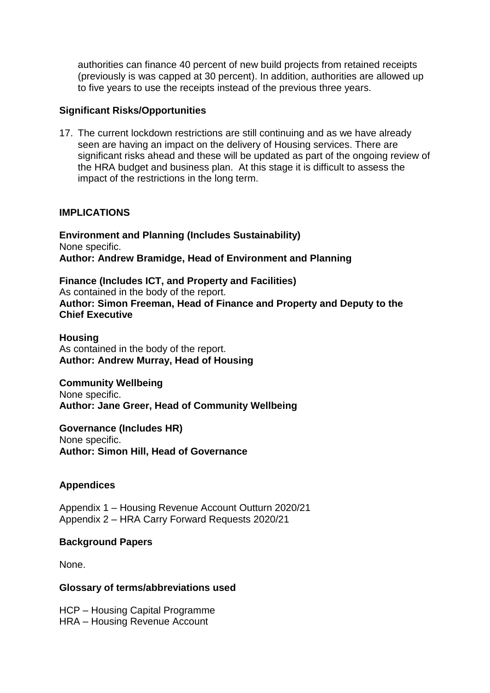authorities can finance 40 percent of new build projects from retained receipts (previously is was capped at 30 percent). In addition, authorities are allowed up to five years to use the receipts instead of the previous three years.

#### **Significant Risks/Opportunities**

17. The current lockdown restrictions are still continuing and as we have already seen are having an impact on the delivery of Housing services. There are significant risks ahead and these will be updated as part of the ongoing review of the HRA budget and business plan. At this stage it is difficult to assess the impact of the restrictions in the long term.

### **IMPLICATIONS**

**Environment and Planning (Includes Sustainability)** None specific. **Author: Andrew Bramidge, Head of Environment and Planning** 

**Finance (Includes ICT, and Property and Facilities)** As contained in the body of the report. **Author: Simon Freeman, Head of Finance and Property and Deputy to the Chief Executive**

**Housing** As contained in the body of the report. **Author: Andrew Murray, Head of Housing**

**Community Wellbeing** None specific. **Author: Jane Greer, Head of Community Wellbeing**

**Governance (Includes HR)** None specific. **Author: Simon Hill, Head of Governance**

### **Appendices**

Appendix 1 – Housing Revenue Account Outturn 2020/21 Appendix 2 – HRA Carry Forward Requests 2020/21

### **Background Papers**

None.

#### **Glossary of terms/abbreviations used**

HCP – Housing Capital Programme HRA – Housing Revenue Account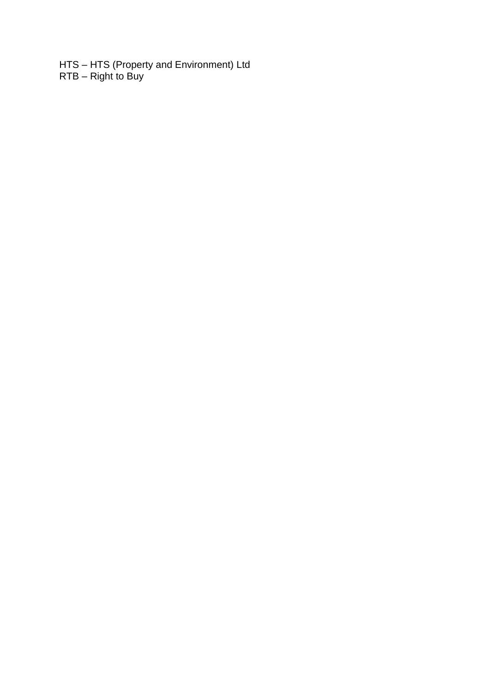HTS – HTS (Property and Environment) Ltd RTB – Right to Buy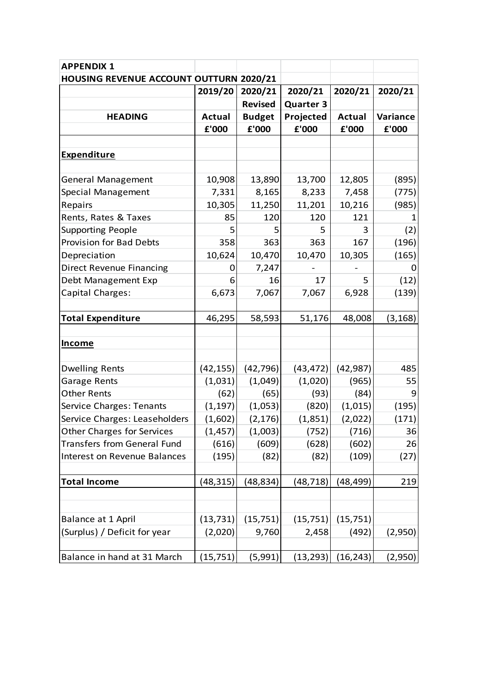| <b>APPENDIX 1</b>                       |               |                |                  |               |          |
|-----------------------------------------|---------------|----------------|------------------|---------------|----------|
| HOUSING REVENUE ACCOUNT OUTTURN 2020/21 |               |                |                  |               |          |
|                                         | 2019/20       | 2020/21        | 2020/21          | 2020/21       | 2020/21  |
|                                         |               | <b>Revised</b> | <b>Quarter 3</b> |               |          |
| <b>HEADING</b>                          | <b>Actual</b> | <b>Budget</b>  | Projected        | <b>Actual</b> | Variance |
|                                         | £'000         | £'000          | £'000            | £'000         | £'000    |
|                                         |               |                |                  |               |          |
| <b>Expenditure</b>                      |               |                |                  |               |          |
|                                         |               |                |                  |               |          |
| <b>General Management</b>               | 10,908        | 13,890         | 13,700           | 12,805        | (895)    |
| Special Management                      | 7,331         | 8,165          | 8,233            | 7,458         | (775)    |
| Repairs                                 | 10,305        | 11,250         | 11,201           | 10,216        | (985)    |
| Rents, Rates & Taxes                    | 85            | 120            | 120              | 121           |          |
| <b>Supporting People</b>                | 5             | 5              | 5                | 3             | (2)      |
| <b>Provision for Bad Debts</b>          | 358           | 363            | 363              | 167           | (196)    |
| Depreciation                            | 10,624        | 10,470         | 10,470           | 10,305        | (165)    |
| <b>Direct Revenue Financing</b>         | 0             | 7,247          |                  |               | O        |
| Debt Management Exp                     | 6             | 16             | 17               | 5.            | (12)     |
| Capital Charges:                        | 6,673         | 7,067          | 7,067            | 6,928         | (139)    |
|                                         |               |                |                  |               |          |
| <b>Total Expenditure</b>                | 46,295        | 58,593         | 51,176           | 48,008        | (3, 168) |
|                                         |               |                |                  |               |          |
| <b>Income</b>                           |               |                |                  |               |          |
|                                         |               |                |                  |               |          |
| <b>Dwelling Rents</b>                   | (42, 155)     | (42, 796)      | (43, 472)        | (42, 987)     | 485      |
| Garage Rents                            | (1,031)       | (1,049)        | (1,020)          | (965)         | 55       |
| <b>Other Rents</b>                      | (62)          | (65)           | (93)             | (84)          | 9        |
| <b>Service Charges: Tenants</b>         | (1, 197)      | (1,053)        | (820)            | (1,015)       | (195)    |
| Service Charges: Leaseholders           | (1,602)       | (2, 176)       | (1,851)          | (2,022)       | (171)    |
| <b>Other Charges for Services</b>       | (1, 457)      | (1,003)        | (752)            | (716)         | 36       |
| <b>Transfers from General Fund</b>      | (616)         | (609)          | (628)            | (602)         | 26       |
| Interest on Revenue Balances            | (195)         | (82)           | (82)             | (109)         | (27)     |
|                                         |               |                |                  |               |          |
| <b>Total Income</b>                     | (48, 315)     | (48, 834)      | (48, 718)        | (48, 499)     | 219      |
|                                         |               |                |                  |               |          |
|                                         |               |                |                  |               |          |
| Balance at 1 April                      | (13, 731)     | (15, 751)      | (15, 751)        | (15, 751)     |          |
| (Surplus) / Deficit for year            | (2,020)       | 9,760          | 2,458            | (492)         | (2,950)  |
|                                         |               |                |                  |               |          |
| Balance in hand at 31 March             | (15, 751)     | (5,991)        | (13, 293)        | (16, 243)     | (2,950)  |